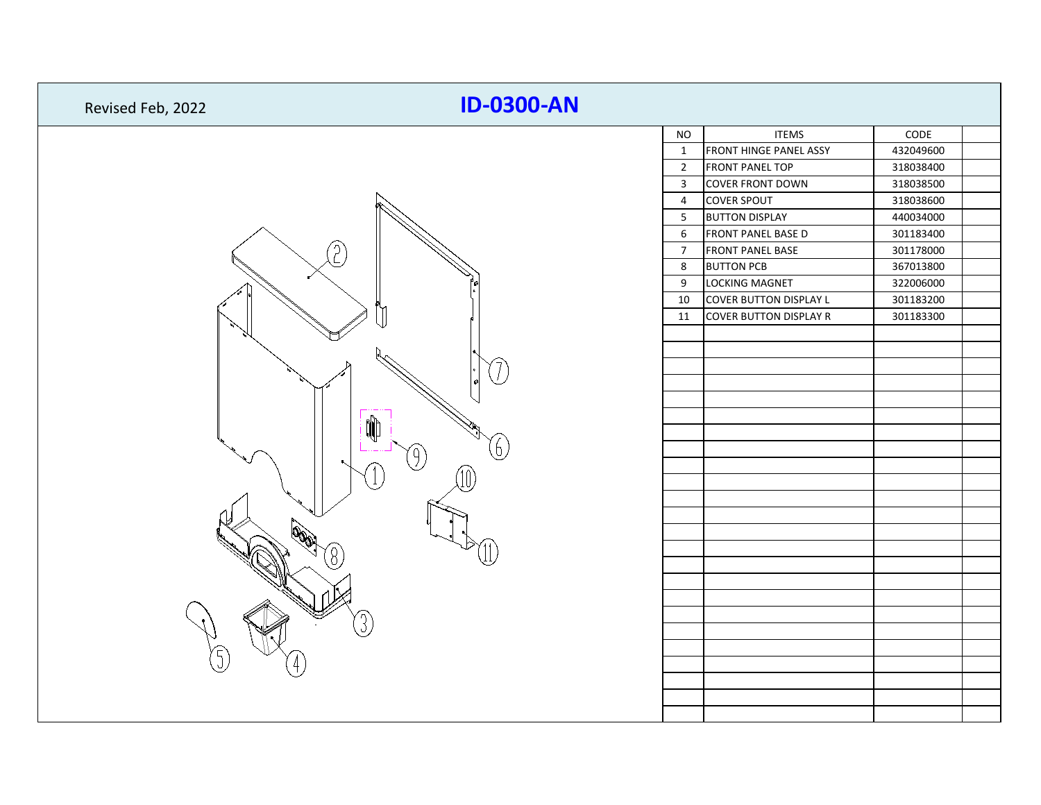| Revised Feb, 2022 | <b>ID-0300-AN</b> |                         |                               |           |
|-------------------|-------------------|-------------------------|-------------------------------|-----------|
|                   |                   | <b>NO</b>               | <b>ITEMS</b>                  | CODE      |
|                   |                   | $\mathbf{1}$            | <b>FRONT HINGE PANEL ASSY</b> | 432049600 |
|                   |                   | $\overline{2}$          | <b>FRONT PANEL TOP</b>        | 318038400 |
|                   |                   | $\overline{\mathbf{3}}$ | <b>COVER FRONT DOWN</b>       | 318038500 |
|                   |                   | $\overline{4}$          | <b>COVER SPOUT</b>            | 318038600 |
|                   |                   | 5                       | <b>BUTTON DISPLAY</b>         | 440034000 |
|                   |                   | 6                       | <b>FRONT PANEL BASE D</b>     | 301183400 |
|                   |                   | $\overline{7}$          | <b>FRONT PANEL BASE</b>       | 301178000 |
|                   |                   | 8                       | <b>BUTTON PCB</b>             | 367013800 |
|                   |                   | 9                       | LOCKING MAGNET                | 322006000 |
|                   |                   | 10                      | <b>COVER BUTTON DISPLAY L</b> | 301183200 |
|                   |                   | 11                      | <b>COVER BUTTON DISPLAY R</b> | 301183300 |
|                   |                   |                         |                               |           |
|                   |                   |                         |                               |           |
|                   |                   |                         |                               |           |
|                   |                   |                         |                               |           |
|                   |                   |                         |                               |           |
|                   |                   |                         |                               |           |
|                   |                   |                         |                               |           |
|                   |                   |                         |                               |           |
|                   |                   |                         |                               |           |
|                   |                   |                         |                               |           |
|                   |                   |                         |                               |           |
|                   |                   |                         |                               |           |
|                   |                   |                         |                               |           |
|                   |                   |                         |                               |           |
|                   |                   |                         |                               |           |
|                   |                   |                         |                               |           |
|                   |                   |                         |                               |           |
|                   |                   |                         |                               |           |
|                   |                   |                         |                               |           |
|                   |                   |                         |                               |           |
|                   |                   |                         |                               |           |
|                   |                   |                         |                               |           |
|                   |                   |                         |                               |           |
|                   |                   |                         |                               |           |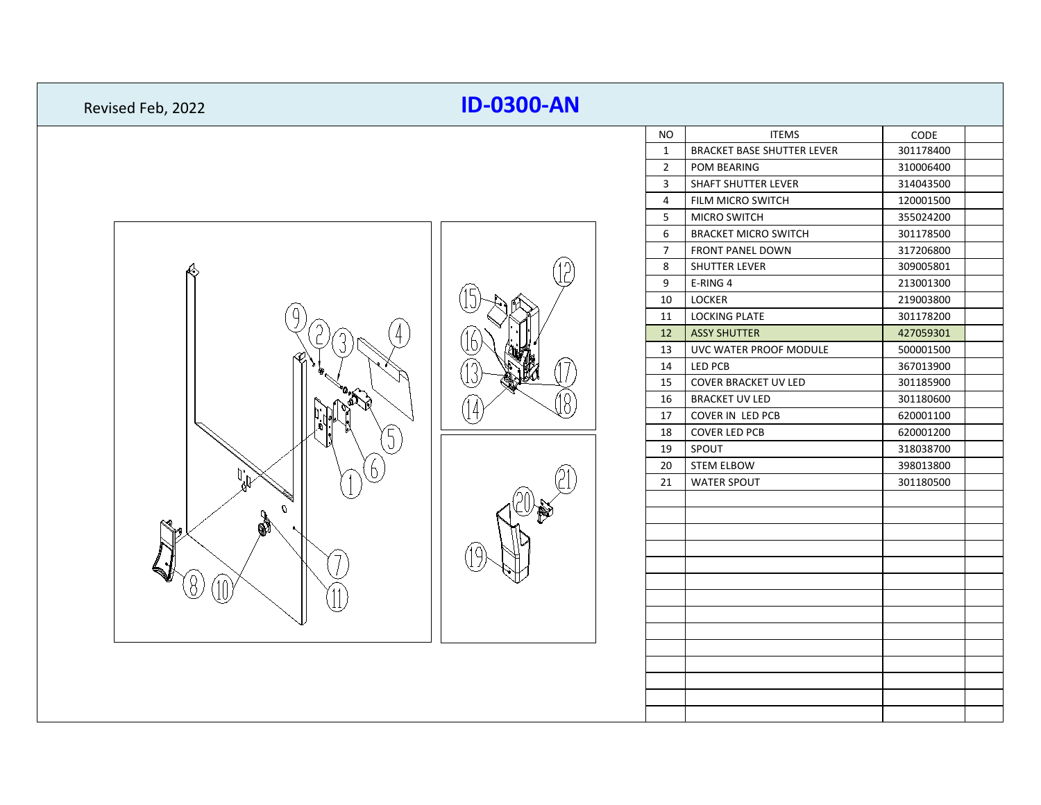| Revised Feb, 2022 | <b>ID-0300-AN</b> |                |                                   |           |
|-------------------|-------------------|----------------|-----------------------------------|-----------|
|                   |                   | <b>NO</b>      | <b>ITEMS</b>                      | CODE      |
|                   |                   | $\mathbf{1}$   | <b>BRACKET BASE SHUTTER LEVER</b> | 301178400 |
|                   |                   | $\overline{2}$ | POM BEARING                       | 310006400 |
|                   |                   | 3              | SHAFT SHUTTER LEVER               | 314043500 |
|                   |                   | 4              | FILM MICRO SWITCH                 | 120001500 |
|                   |                   | 5              | MICRO SWITCH                      | 355024200 |
|                   |                   | 6              | <b>BRACKET MICRO SWITCH</b>       | 301178500 |
|                   |                   | $\overline{7}$ | FRONT PANEL DOWN                  | 317206800 |
|                   |                   | 8              | SHUTTER LEVER                     | 309005801 |
|                   |                   | 9              | E-RING 4                          | 213001300 |
|                   |                   | 10             | LOCKER                            | 219003800 |
|                   |                   | 11             | <b>LOCKING PLATE</b>              | 301178200 |
|                   |                   | 12             | <b>ASSY SHUTTER</b>               | 427059301 |
|                   |                   | 13             | UVC WATER PROOF MODULE            | 500001500 |
|                   |                   | 14             | LED PCB                           | 367013900 |
|                   |                   | 15             | COVER BRACKET UV LED              | 301185900 |
|                   |                   | 16             | <b>BRACKET UV LED</b>             | 301180600 |
|                   |                   | 17             | COVER IN LED PCB                  | 620001100 |
|                   |                   | 18             | <b>COVER LED PCB</b>              | 620001200 |
|                   |                   | 19             | SPOUT                             | 318038700 |
|                   |                   | 20             | <b>STEM ELBOW</b>                 | 398013800 |
|                   |                   | 21             | <b>WATER SPOUT</b>                | 301180500 |
|                   |                   |                |                                   |           |
|                   |                   |                |                                   |           |
|                   |                   |                |                                   |           |
|                   |                   |                |                                   |           |
|                   |                   |                |                                   |           |
|                   |                   |                |                                   |           |
|                   |                   |                |                                   |           |
|                   |                   |                |                                   |           |
|                   |                   |                |                                   |           |
|                   |                   |                |                                   |           |
|                   |                   |                |                                   |           |
|                   |                   |                |                                   |           |
|                   |                   |                |                                   |           |
|                   |                   |                |                                   |           |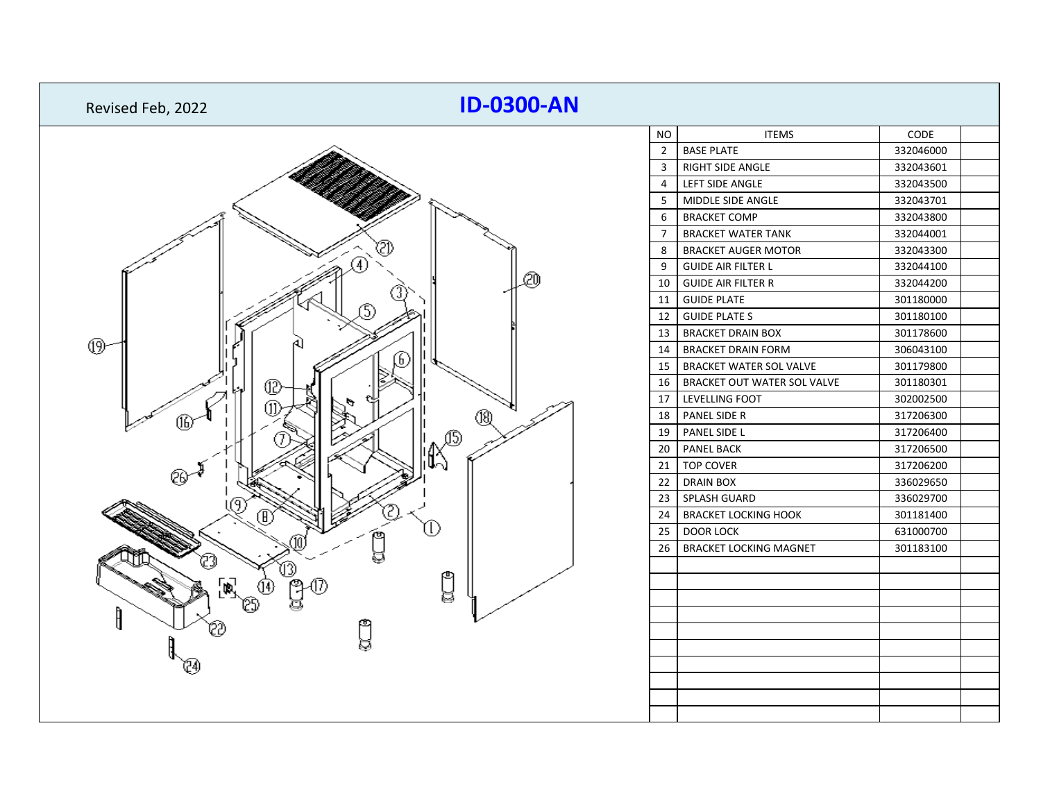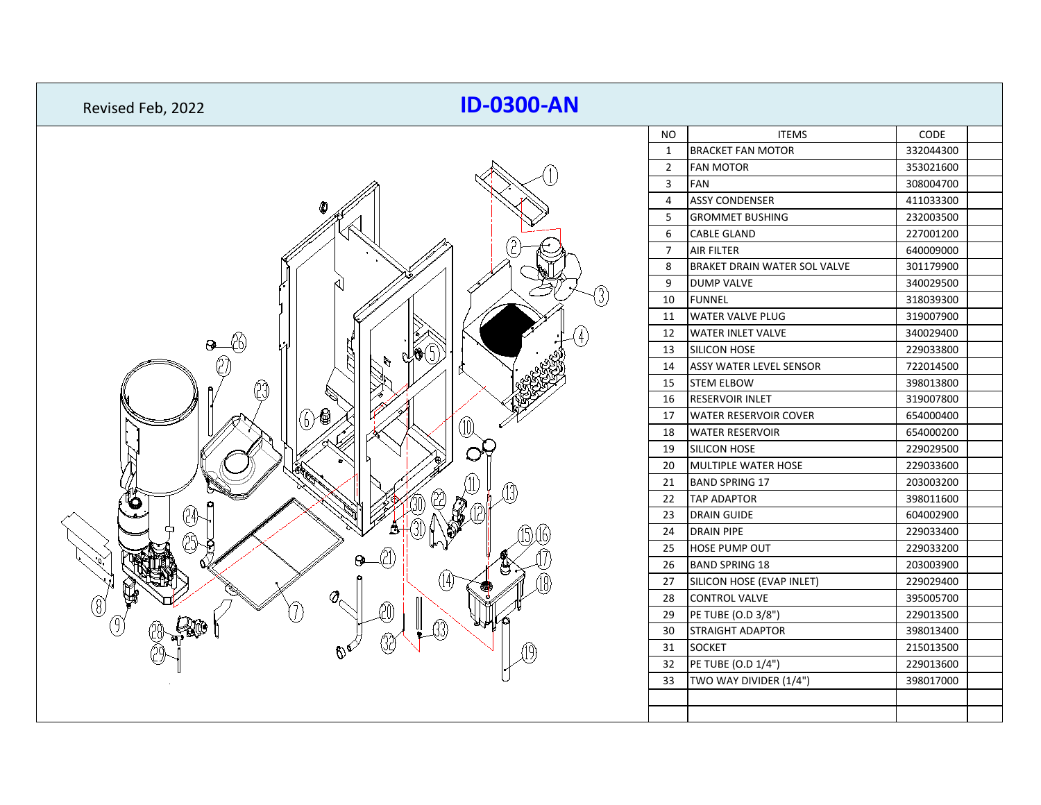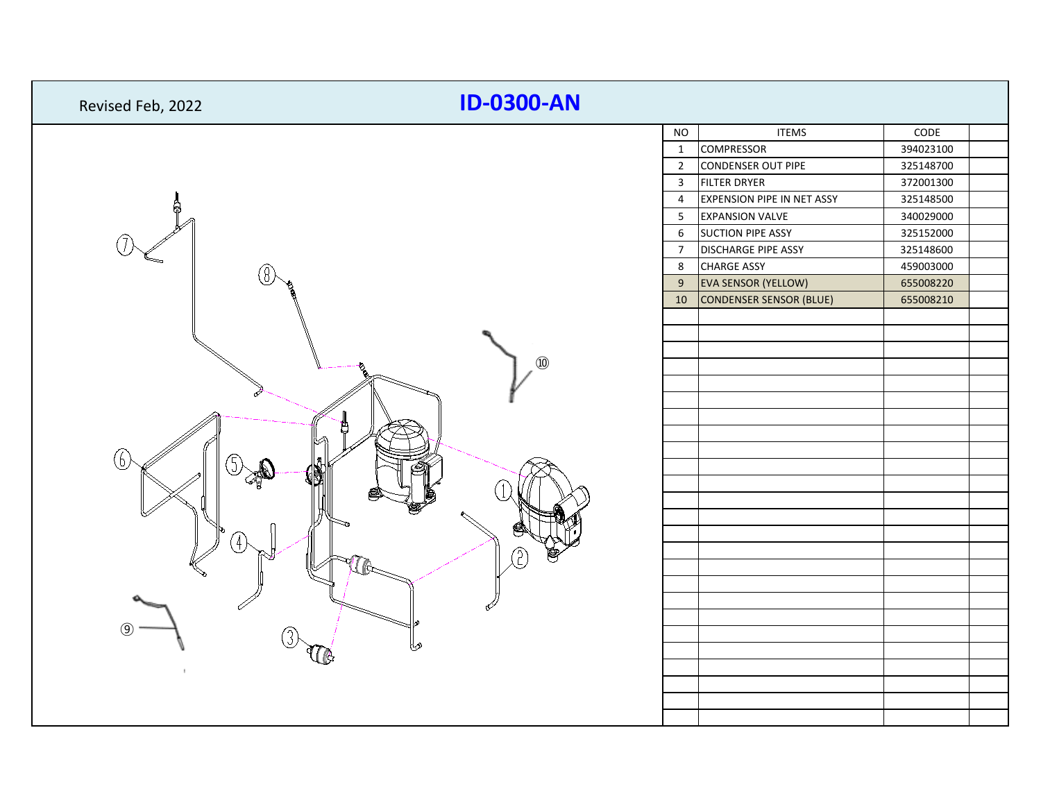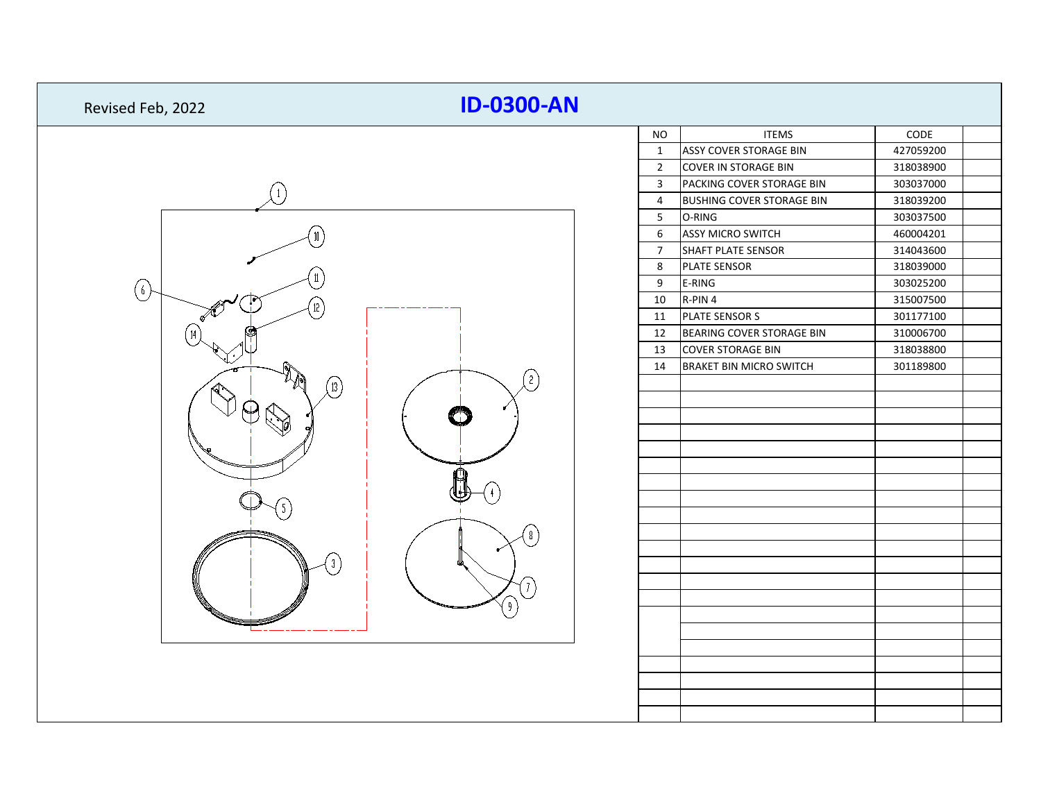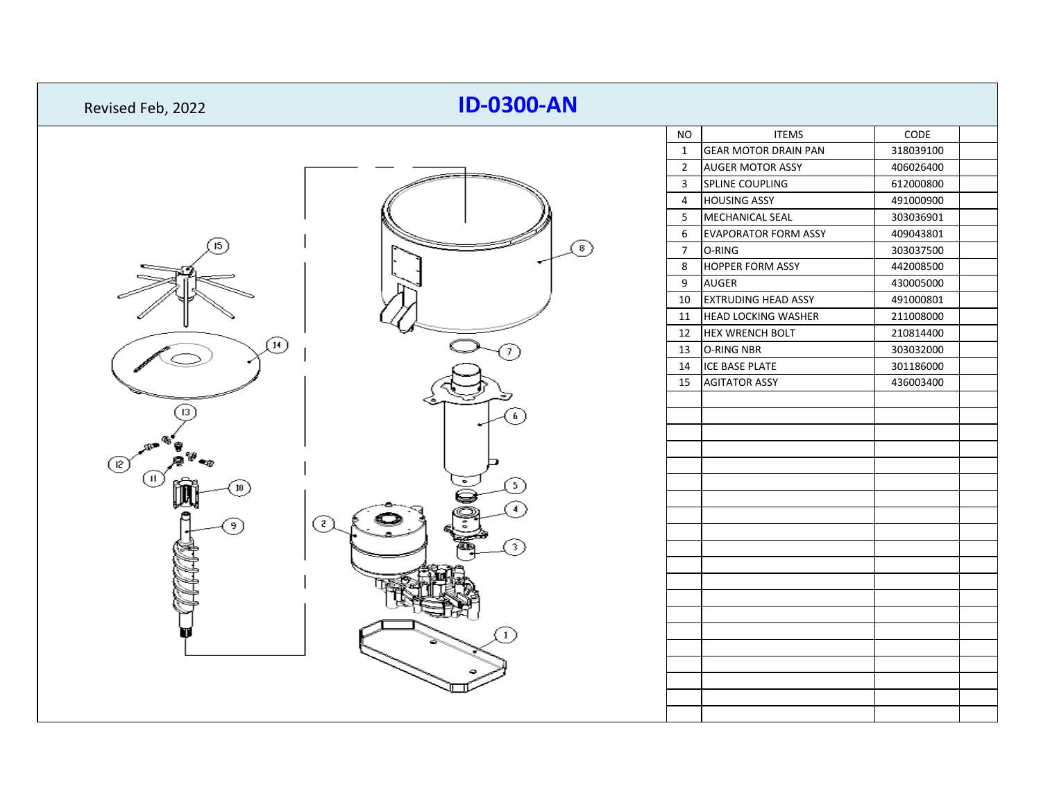